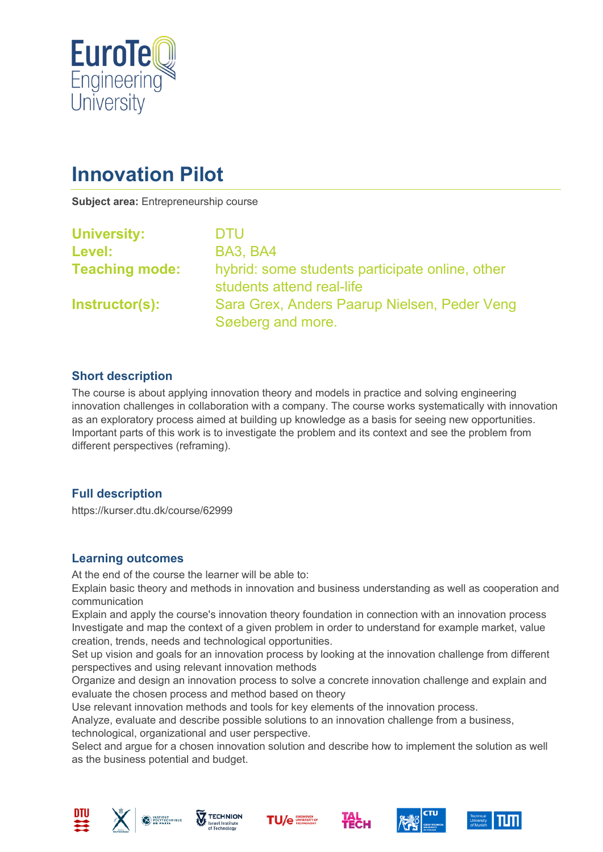

# **Innovation Pilot**

**Subject area:** Entrepreneurship course

| <b>University:</b>    | <b>DTU</b>                                                                   |
|-----------------------|------------------------------------------------------------------------------|
| Level:                | <b>BA3, BA4</b>                                                              |
| <b>Teaching mode:</b> | hybrid: some students participate online, other<br>students attend real-life |
| Instructor(s):        | Sara Grex, Anders Paarup Nielsen, Peder Veng<br>Søeberg and more.            |

# **Short description**

The course is about applying innovation theory and models in practice and solving engineering innovation challenges in collaboration with a company. The course works systematically with innovation as an exploratory process aimed at building up knowledge as a basis for seeing new opportunities. Important parts of this work is to investigate the problem and its context and see the problem from different perspectives (reframing).

# **Full description**

https://kurser.dtu.dk/course/62999

#### **Learning outcomes**

At the end of the course the learner will be able to:

Explain basic theory and methods in innovation and business understanding as well as cooperation and communication

Explain and apply the course's innovation theory foundation in connection with an innovation process Investigate and map the context of a given problem in order to understand for example market, value creation, trends, needs and technological opportunities.

Set up vision and goals for an innovation process by looking at the innovation challenge from different perspectives and using relevant innovation methods

Organize and design an innovation process to solve a concrete innovation challenge and explain and evaluate the chosen process and method based on theory

Use relevant innovation methods and tools for key elements of the innovation process.

Analyze, evaluate and describe possible solutions to an innovation challenge from a business, technological, organizational and user perspective.

Select and argue for a chosen innovation solution and describe how to implement the solution as well as the business potential and budget.











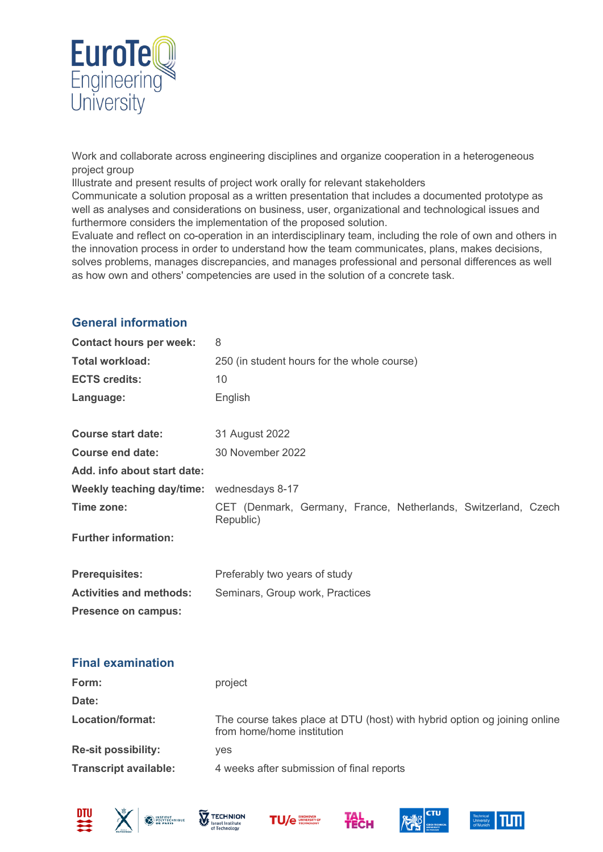

Work and collaborate across engineering disciplines and organize cooperation in a heterogeneous project group

Illustrate and present results of project work orally for relevant stakeholders

Communicate a solution proposal as a written presentation that includes a documented prototype as well as analyses and considerations on business, user, organizational and technological issues and furthermore considers the implementation of the proposed solution.

Evaluate and reflect on co-operation in an interdisciplinary team, including the role of own and others in the innovation process in order to understand how the team communicates, plans, makes decisions, solves problems, manages discrepancies, and manages professional and personal differences as well as how own and others' competencies are used in the solution of a concrete task.

# **General information**

**Contact hours per week:** 8

| <b>Total workload:</b>         | 250 (in student hours for the whole course)                                                             |  |
|--------------------------------|---------------------------------------------------------------------------------------------------------|--|
| <b>ECTS credits:</b>           | 10                                                                                                      |  |
| Language:                      | English                                                                                                 |  |
| <b>Course start date:</b>      | 31 August 2022                                                                                          |  |
| <b>Course end date:</b>        | 30 November 2022                                                                                        |  |
| Add. info about start date:    |                                                                                                         |  |
| Weekly teaching day/time:      | wednesdays 8-17                                                                                         |  |
| Time zone:                     | CET (Denmark, Germany, France, Netherlands, Switzerland, Czech<br>Republic)                             |  |
| <b>Further information:</b>    |                                                                                                         |  |
| <b>Prerequisites:</b>          | Preferably two years of study                                                                           |  |
| <b>Activities and methods:</b> | Seminars, Group work, Practices                                                                         |  |
| <b>Presence on campus:</b>     |                                                                                                         |  |
| <b>Final examination</b>       |                                                                                                         |  |
| Form:                          | project                                                                                                 |  |
| Date:                          |                                                                                                         |  |
| Location/format:               | The course takes place at DTU (host) with hybrid option og joining online<br>from home/home institution |  |
| <b>Re-sit possibility:</b>     | yes                                                                                                     |  |
| <b>Transcript available:</b>   | 4 weeks after submission of final reports                                                               |  |